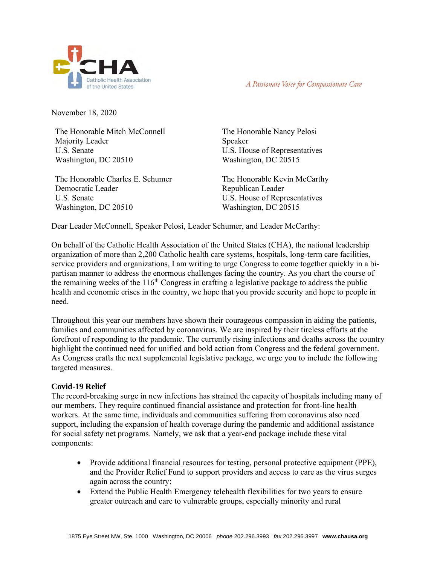

A Passionate Voice for Compassionate Care

November 18, 2020

The Honorable Mitch McConnell Majority Leader U.S. Senate Washington, DC 20510

The Honorable Charles E. Schumer Democratic Leader U.S. Senate Washington, DC 20510

The Honorable Nancy Pelosi Speaker U.S. House of Representatives Washington, DC 20515

The Honorable Kevin McCarthy Republican Leader U.S. House of Representatives Washington, DC 20515

Dear Leader McConnell, Speaker Pelosi, Leader Schumer, and Leader McCarthy:

On behalf of the Catholic Health Association of the United States (CHA), the national leadership organization of more than 2,200 Catholic health care systems, hospitals, long-term care facilities, service providers and organizations, I am writing to urge Congress to come together quickly in a bipartisan manner to address the enormous challenges facing the country. As you chart the course of the remaining weeks of the  $116<sup>th</sup>$  Congress in crafting a legislative package to address the public health and economic crises in the country, we hope that you provide security and hope to people in need.

Throughout this year our members have shown their courageous compassion in aiding the patients, families and communities affected by coronavirus. We are inspired by their tireless efforts at the forefront of responding to the pandemic. The currently rising infections and deaths across the country highlight the continued need for unified and bold action from Congress and the federal government. As Congress crafts the next supplemental legislative package, we urge you to include the following targeted measures.

## **Covid-19 Relief**

The record-breaking surge in new infections has strained the capacity of hospitals including many of our members. They require continued financial assistance and protection for front-line health workers. At the same time, individuals and communities suffering from coronavirus also need support, including the expansion of health coverage during the pandemic and additional assistance for social safety net programs. Namely, we ask that a year-end package include these vital components:

- Provide additional financial resources for testing, personal protective equipment (PPE), and the Provider Relief Fund to support providers and access to care as the virus surges again across the country;
- Extend the Public Health Emergency telehealth flexibilities for two years to ensure greater outreach and care to vulnerable groups, especially minority and rural